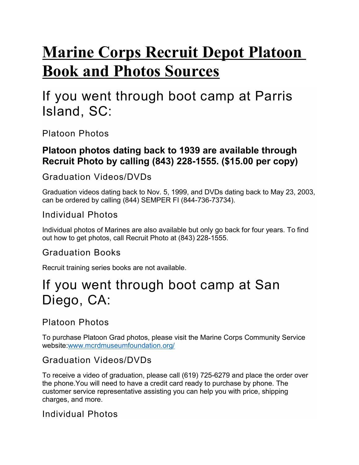# **Marine Corps Recruit Depot Platoon Book and Photos Sources**

# If you went through boot camp at Parris Island, SC:

Platoon Photos

# **Platoon photos dating back to 1939 are available through Recruit Photo by calling (843) 228-1555. (\$15.00 per copy)**

# Graduation Videos/DVDs

Graduation videos dating back to Nov. 5, 1999, and DVDs dating back to May 23, 2003, can be ordered by calling (844) SEMPER FI (844-736-73734).

## Individual Photos

Individual photos of Marines are also available but only go back for four years. To find out how to get photos, call Recruit Photo at (843) 228-1555.

## Graduation Books

Recruit training series books are not available.

# If you went through boot camp at San Diego, CA:

# Platoon Photos

To purchase Platoon Grad photos, please visit the Marine Corps Community Service website:www.mcrdmuseumfoundation.org/

## Graduation Videos/DVDs

To receive a video of graduation, please call (619) 725-6279 and place the order over the phone.You will need to have a credit card ready to purchase by phone. The customer service representative assisting you can help you with price, shipping charges, and more.

## Individual Photos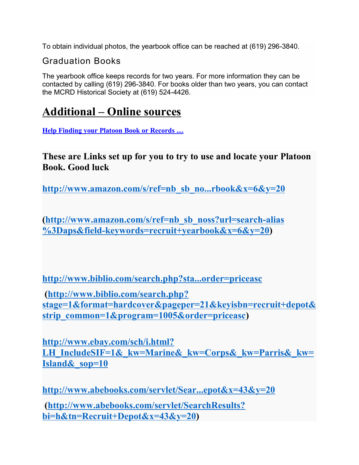To obtain individual photos, the yearbook office can be reached at (619) 296-3840.

# Graduation Books

The yearbook office keeps records for two years. For more information they can be contacted by calling (619) 296-3840. For books older than two years, you can contact the MCRD Historical Society at (619) 524-4426.

# **Additional – Online sources**

**Help Finding your Platoon Book or Records ....**

**These are Links set up for you to try to use and locate your Platoon Book. Good luck**

**http://www.amazon.com/s/ref=nb\_sb\_no...rbook&x=6&y=20**

**(http://www.amazon.com/s/ref=nb\_sb\_noss?url=search-alias %3Daps&field-keywords=recruit+yearbook&x=6&y=20)**

**http://www.biblio.com/search.php?sta...order=priceasc**

 **(http://www.biblio.com/search.php? stage=1&format=hardcover&pageper=21&keyisbn=recruit+depot& strip\_common=1&program=1005&order=priceasc)**

**http://www.ebay.com/sch/i.html?** LH\_IncludeSIF=1&\_kw=Marine&\_kw=Corps&\_kw=Parris&\_kw= **Island&\_sop=10**

**http://www.abebooks.com/servlet/Sear...epot&x=43&y=20 (http://www.abebooks.com/servlet/SearchResults? bi=h&tn=Recruit+Depot&x=43&y=20)**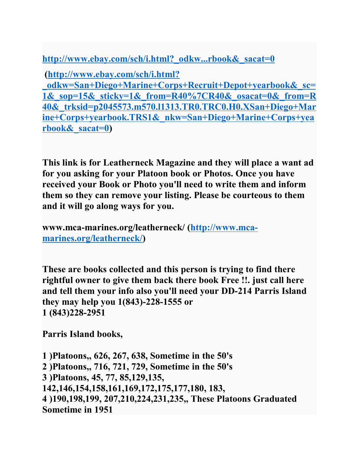**http://www.ebay.com/sch/i.html?\_odkw...rbook&\_sacat=0**

 **(http://www.ebay.com/sch/i.html?**

**\_odkw=San+Diego+Marine+Corps+Recruit+Depot+yearbook&\_sc= 1&\_sop=15&\_sticky=1&\_from=R40%7CR40&\_osacat=0&\_from=R 40&\_trksid=p2045573.m570.l1313.TR0.TRC0.H0.XSan+Diego+Mar ine+Corps+yearbook.TRS1&\_nkw=San+Diego+Marine+Corps+yea rbook&\_sacat=0)**

**This link is for Leatherneck Magazine and they will place a want ad for you asking for your Platoon book or Photos. Once you have received your Book or Photo you'll need to write them and inform them so they can remove your listing. Please be courteous to them and it will go along ways for you.**

**www.mca-marines.org/leatherneck/ (http://www.mcamarines.org/leatherneck/)**

**These are books collected and this person is trying to find there rightful owner to give them back there book Free !!. just call here and tell them your info also you'll need your DD-214 Parris Island they may help you 1(843)-228-1555 or 1 (843)228-2951**

**Parris Island books,**

**1 )Platoons,, 626, 267, 638, Sometime in the 50's 2 )Platoons,, 716, 721, 729, Sometime in the 50's 3 )Platoons, 45, 77, 85,129,135, 142,146,154,158,161,169,172,175,177,180, 183, 4 )190,198,199, 207,210,224,231,235,, These Platoons Graduated Sometime in 1951**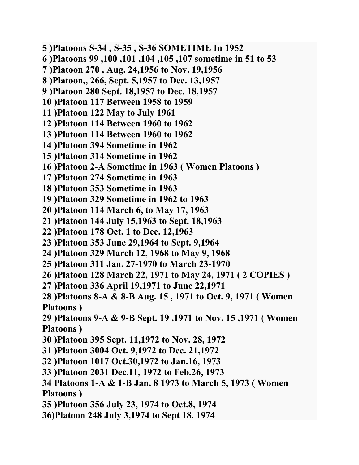- **5 )Platoons S-34 , S-35 , S-36 SOMETIME In 1952**
- **6 )Platoons 99 ,100 ,101 ,104 ,105 ,107 sometime in 51 to 53**
- **7 )Platoon 270 , Aug. 24,1956 to Nov. 19,1956**
- **8 )Platoon,, 266, Sept. 5,1957 to Dec. 13,1957**
- **9 )Platoon 280 Sept. 18,1957 to Dec. 18,1957**
- **10 )Platoon 117 Between 1958 to 1959**
- **11 )Platoon 122 May to July 1961**
- **12 )Platoon 114 Between 1960 to 1962**
- **13 )Platoon 114 Between 1960 to 1962**
- **14 )Platoon 394 Sometime in 1962**
- **15 )Platoon 314 Sometime in 1962**
- **16 )Platoon 2-A Sometime in 1963 ( Women Platoons )**
- **17 )Platoon 274 Sometime in 1963**
- **18 )Platoon 353 Sometime in 1963**
- **19 )Platoon 329 Sometime in 1962 to 1963**
- **20 )Platoon 114 March 6, to May 17, 1963**
- **21 )Platoon 144 July 15,1963 to Sept. 18,1963**
- **22 )Platoon 178 Oct. 1 to Dec. 12,1963**
- **23 )Platoon 353 June 29,1964 to Sept. 9,1964**
- **24 )Platoon 329 March 12, 1968 to May 9, 1968**
- **25 )Platoon 311 Jan. 27-1970 to March 23-1970**
- **26 )Platoon 128 March 22, 1971 to May 24, 1971 ( 2 COPIES )**
- **27 )Platoon 336 April 19,1971 to June 22,1971**
- **28 )Platoons 8-A & 8-B Aug. 15 , 1971 to Oct. 9, 1971 ( Women Platoons )**
- **29 )Platoons 9-A & 9-B Sept. 19 ,1971 to Nov. 15 ,1971 ( Women Platoons )**
- **30 )Platoon 395 Sept. 11,1972 to Nov. 28, 1972**
- **31 )Platoon 3004 Oct. 9,1972 to Dec. 21,1972**
- **32 )Platoon 1017 Oct.30,1972 to Jan.16, 1973**
- **33 )Platoon 2031 Dec.11, 1972 to Feb.26, 1973**
- **34 Platoons 1-A & 1-B Jan. 8 1973 to March 5, 1973 ( Women Platoons )**
- **35 )Platoon 356 July 23, 1974 to Oct.8, 1974**
- **36)Platoon 248 July 3,1974 to Sept 18. 1974**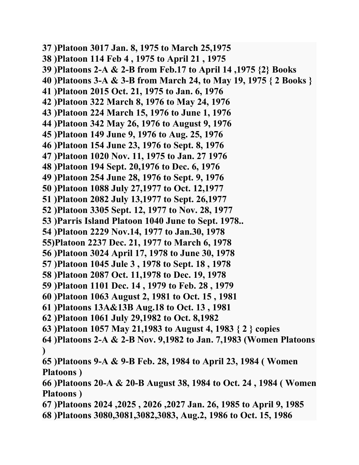```
37 )Platoon 3017 Jan. 8, 1975 to March 25,1975
38 )Platoon 114 Feb 4 , 1975 to April 21 , 1975
39 )Platoons 2-A & 2-B from Feb.17 to April 14 ,1975 {2} Books
40 )Platoons 3-A & 3-B from March 24, to May 19, 1975 { 2 Books }
41 )Platoon 2015 Oct. 21, 1975 to Jan. 6, 1976
42 )Platoon 322 March 8, 1976 to May 24, 1976
43 )Platoon 224 March 15, 1976 to June 1, 1976
44 )Platoon 342 May 26, 1976 to August 9, 1976
45 )Platoon 149 June 9, 1976 to Aug. 25, 1976
46 )Platoon 154 June 23, 1976 to Sept. 8, 1976
47 )Platoon 1020 Nov. 11, 1975 to Jan. 27 1976
48 )Platoon 194 Sept. 20,1976 to Dec. 6, 1976
49 )Platoon 254 June 28, 1976 to Sept. 9, 1976
50 )Platoon 1088 July 27,1977 to Oct. 12,1977
51 )Platoon 2082 July 13,1977 to Sept. 26,1977
52 )Platoon 3305 Sept. 12, 1977 to Nov. 28, 1977
53 )Parris Island Platoon 1040 June to Sept. 1978..
54 )Platoon 2229 Nov.14, 1977 to Jan.30, 1978
55)Platoon 2237 Dec. 21, 1977 to March 6, 1978
56 )Platoon 3024 April 17, 1978 to June 30, 1978
57 )Platoon 1045 Jule 3 , 1978 to Sept. 18 , 1978
58 )Platoon 2087 Oct. 11,1978 to Dec. 19, 1978
59 )Platoon 1101 Dec. 14 , 1979 to Feb. 28 , 1979
60 )Platoon 1063 August 2, 1981 to Oct. 15 , 1981
61 )Platoons 13A&13B Aug.18 to Oct. 13 , 1981
62 )Platoon 1061 July 29,1982 to Oct. 8,1982
63 )Platoon 1057 May 21,1983 to August 4, 1983 { 2 } copies
64 )Platoons 2-A & 2-B Nov. 9,1982 to Jan. 7,1983 (Women Platoons
)
65 )Platoons 9-A & 9-B Feb. 28, 1984 to April 23, 1984 ( Women 
Platoons )
66 )Platoons 20-A & 20-B August 38, 1984 to Oct. 24 , 1984 ( Women
Platoons )
67 )Platoons 2024 ,2025 , 2026 ,2027 Jan. 26, 1985 to April 9, 1985
68 )Platoons 3080,3081,3082,3083, Aug.2, 1986 to Oct. 15, 1986
```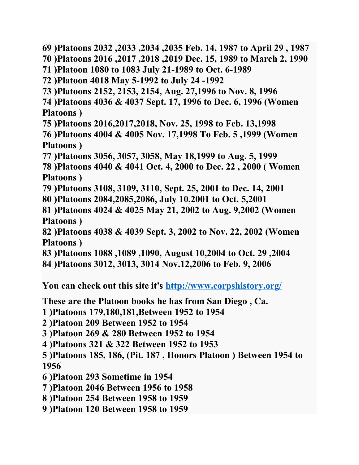**69 )Platoons 2032 ,2033 ,2034 ,2035 Feb. 14, 1987 to April 29 , 1987 70 )Platoons 2016 ,2017 ,2018 ,2019 Dec. 15, 1989 to March 2, 1990 71 )Platoon 1080 to 1083 July 21-1989 to Oct. 6-1989 72 )Platoon 4018 May 5-1992 to July 24 -1992 73 )Platoons 2152, 2153, 2154, Aug. 27,1996 to Nov. 8, 1996 74 )Platoons 4036 & 4037 Sept. 17, 1996 to Dec. 6, 1996 (Women Platoons ) 75 )Platoons 2016,2017,2018, Nov. 25, 1998 to Feb. 13,1998 76 )Platoons 4004 & 4005 Nov. 17,1998 To Feb. 5 ,1999 (Women Platoons ) 77 )Platoons 3056, 3057, 3058, May 18,1999 to Aug. 5, 1999 78 )Platoons 4040 & 4041 Oct. 4, 2000 to Dec. 22 , 2000 ( Women Platoons ) 79 )Platoons 3108, 3109, 3110, Sept. 25, 2001 to Dec. 14, 2001 80 )Platoons 2084,2085,2086, July 10,2001 to Oct. 5,2001 81 )Platoons 4024 & 4025 May 21, 2002 to Aug. 9,2002 (Women Platoons ) 82 )Platoons 4038 & 4039 Sept. 3, 2002 to Nov. 22, 2002 (Women Platoons ) 83 )Platoons 1088 ,1089 ,1090, August 10,2004 to Oct. 29 ,2004 84 )Platoons 3012, 3013, 3014 Nov.12,2006 to Feb. 9, 2006 You can check out this site it's http://www.corpshistory.org/**

**These are the Platoon books he has from San Diego , Ca.**

**1 )Platoons 179,180,181,Between 1952 to 1954**

**2 )Platoon 209 Between 1952 to 1954**

**3 )Platoon 269 & 280 Between 1952 to 1954**

**4 )Platoons 321 & 322 Between 1952 to 1953**

**5 )Platoons 185, 186, (Pit. 187 , Honors Platoon ) Between 1954 to 1956**

**6 )Platoon 293 Sometime in 1954**

**7 )Platoon 2046 Between 1956 to 1958**

**8 )Platoon 254 Between 1958 to 1959**

**9 )Platoon 120 Between 1958 to 1959**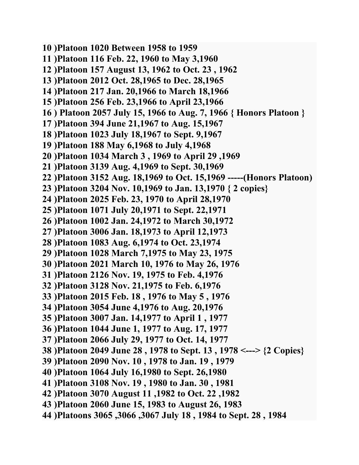**10 )Platoon 1020 Between 1958 to 1959 11 )Platoon 116 Feb. 22, 1960 to May 3,1960 12 )Platoon 157 August 13, 1962 to Oct. 23 , 1962 13 )Platoon 2012 Oct. 28,1965 to Dec. 28,1965 14 )Platoon 217 Jan. 20,1966 to March 18,1966 15 )Platoon 256 Feb. 23,1966 to April 23,1966 16 ) Platoon 2057 July 15, 1966 to Aug. 7, 1966 { Honors Platoon } 17 )Platoon 394 June 21,1967 to Aug. 15,1967 18 )Platoon 1023 July 18,1967 to Sept. 9,1967 19 )Platoon 188 May 6,1968 to July 4,1968 20 )Platoon 1034 March 3 , 1969 to April 29 ,1969 21 )Platoon 3139 Aug. 4,1969 to Sept. 30,1969 22 )Platoon 3152 Aug. 18,1969 to Oct. 15,1969 -----(Honors Platoon) 23 )Platoon 3204 Nov. 10,1969 to Jan. 13,1970 { 2 copies} 24 )Platoon 2025 Feb. 23, 1970 to April 28,1970 25 )Platoon 1071 July 20,1971 to Sept. 22,1971 26 )Platoon 1002 Jan. 24,1972 to March 30,1972 27 )Platoon 3006 Jan. 18,1973 to April 12,1973 28 )Platoon 1083 Aug. 6,1974 to Oct. 23,1974 29 )Platoon 1028 March 7,1975 to May 23, 1975 30 )Platoon 2021 March 10, 1976 to May 26, 1976 31 )Platoon 2126 Nov. 19, 1975 to Feb. 4,1976 32 )Platoon 3128 Nov. 21,1975 to Feb. 6,1976 33 )Platoon 2015 Feb. 18 , 1976 to May 5 , 1976 34 )Platoon 3054 June 4,1976 to Aug. 20,1976 35 )Platoon 3007 Jan. 14,1977 to April 1 , 1977 36 )Platoon 1044 June 1, 1977 to Aug. 17, 1977 37 )Platoon 2066 July 29, 1977 to Oct. 14, 1977 38 )Platoon 2049 June 28 , 1978 to Sept. 13 , 1978 <---> {2 Copies} 39 )Platoon 2090 Nov. 10 , 1978 to Jan. 19 , 1979 40 )Platoon 1064 July 16,1980 to Sept. 26,1980 41 )Platoon 3108 Nov. 19 , 1980 to Jan. 30 , 1981 42 )Platoon 3070 August 11 ,1982 to Oct. 22 ,1982 43 )Platoon 2060 June 15, 1983 to August 26, 1983 44 )Platoons 3065 ,3066 ,3067 July 18 , 1984 to Sept. 28 , 1984**